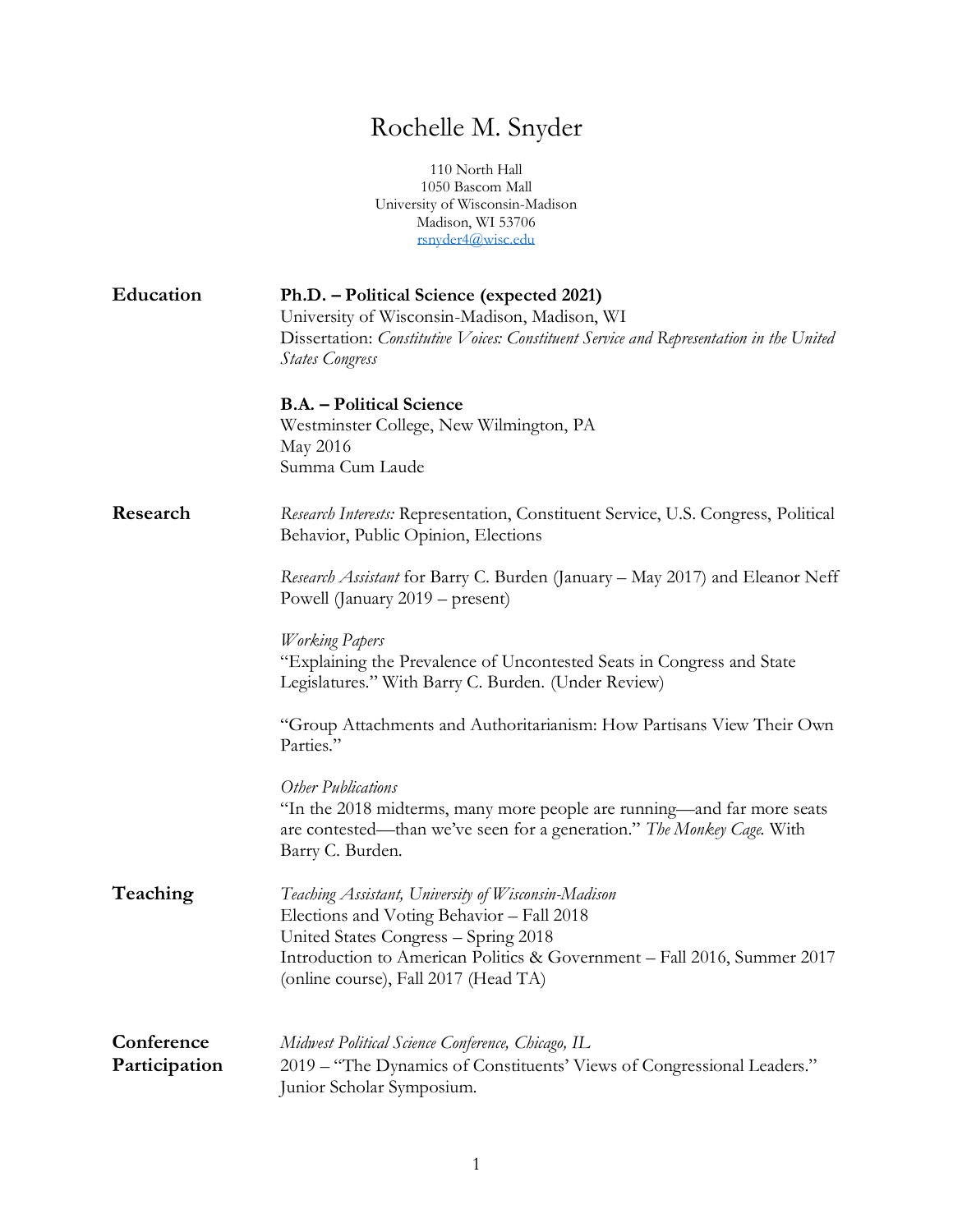## Rochelle M. Snyder

110 North Hall 1050 Bascom Mall University of Wisconsin-Madison Madison, WI 53706 [rsnyder4@wisc.edu](mailto:rsnyder4@wisc.edu)

| Education                   | Ph.D. – Political Science (expected 2021)<br>University of Wisconsin-Madison, Madison, WI<br>Dissertation: Constitutive Voices: Constituent Service and Representation in the United<br><b>States Congress</b>                                              |
|-----------------------------|-------------------------------------------------------------------------------------------------------------------------------------------------------------------------------------------------------------------------------------------------------------|
|                             | <b>B.A.</b> – Political Science<br>Westminster College, New Wilmington, PA<br>May 2016<br>Summa Cum Laude                                                                                                                                                   |
| Research                    | Research Interests: Representation, Constituent Service, U.S. Congress, Political<br>Behavior, Public Opinion, Elections                                                                                                                                    |
|                             | Research Assistant for Barry C. Burden (January - May 2017) and Eleanor Neff<br>Powell (January 2019 – present)                                                                                                                                             |
|                             | <b>Working Papers</b><br>"Explaining the Prevalence of Uncontested Seats in Congress and State<br>Legislatures." With Barry C. Burden. (Under Review)                                                                                                       |
|                             | "Group Attachments and Authoritarianism: How Partisans View Their Own<br>Parties."                                                                                                                                                                          |
|                             | Other Publications<br>"In the 2018 midterms, many more people are running—and far more seats<br>are contested—than we've seen for a generation." The Monkey Cage. With<br>Barry C. Burden.                                                                  |
| Teaching                    | Teaching Assistant, University of Wisconsin-Madison<br>Elections and Voting Behavior - Fall 2018<br>United States Congress - Spring 2018<br>Introduction to American Politics & Government - Fall 2016, Summer 2017<br>(online course), Fall 2017 (Head TA) |
| Conference<br>Participation | Midwest Political Science Conference, Chicago, IL<br>2019 – "The Dynamics of Constituents' Views of Congressional Leaders."<br>Junior Scholar Symposium.                                                                                                    |